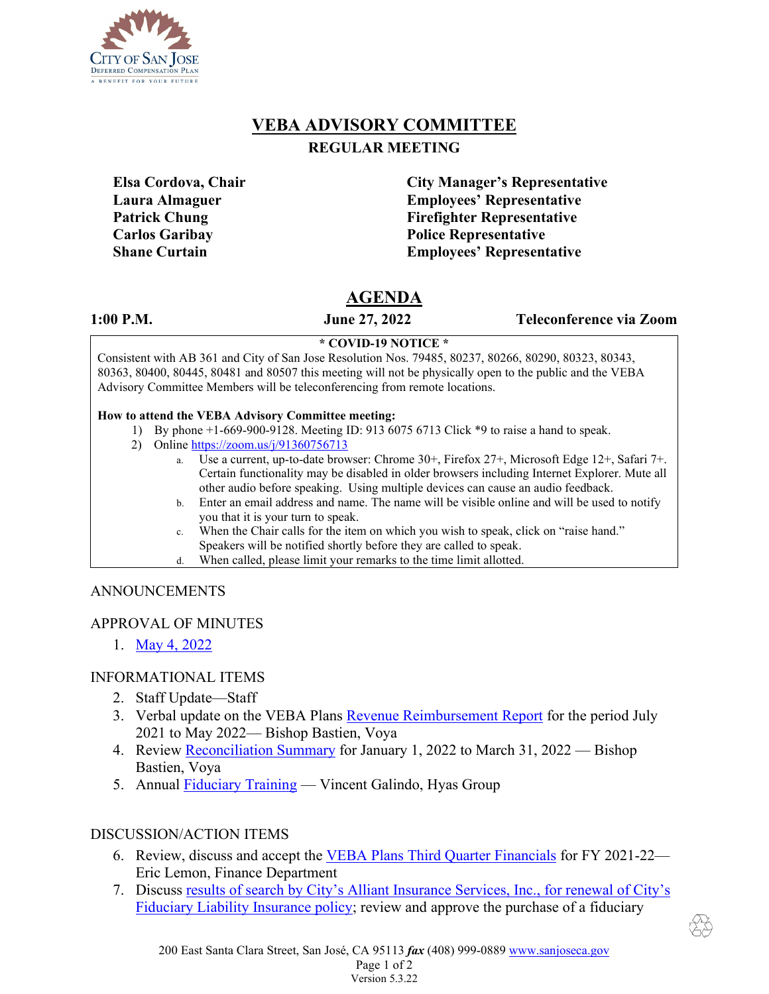

# **VEBA ADVISORY COMMITTEE REGULAR MEETING**

**Elsa Cordova, Chair City Manager's Representative Laura Almaguer Employees' Representative Patrick Chung Firefighter Representative Carlos Garibay Police Representative Shane Curtain Employees' Representative** 

# **AGENDA**

**1:00 P.M. June 27, 2022 Teleconference via Zoom**

#### **\* COVID-19 NOTICE \***

Consistent with AB 361 and City of San Jose Resolution Nos. 79485, 80237, 80266, 80290, 80323, 80343, 80363, 80400, 80445, 80481 and 80507 this meeting will not be physically open to the public and the VEBA Advisory Committee Members will be teleconferencing from remote locations.

#### **How to attend the VEBA Advisory Committee meeting:**

- 1) By phone +1-669-900-9128. Meeting ID: 913 6075 6713 Click \*9 to raise a hand to speak.
- 2) Online <https://zoom.us/j/91360756713>
	- a. Use a current, up-to-date browser: Chrome 30+, Firefox 27+, Microsoft Edge 12+, Safari 7+. Certain functionality may be disabled in older browsers including Internet Explorer. Mute all other audio before speaking. Using multiple devices can cause an audio feedback.
	- b. Enter an email address and name. The name will be visible online and will be used to notify you that it is your turn to speak.
	- c. When the Chair calls for the item on which you wish to speak, click on "raise hand." Speakers will be notified shortly before they are called to speak.
	- d. When called, please limit your remarks to the time limit allotted.

### ANNOUNCEMENTS

### APPROVAL OF MINUTES

1. May [4, 2022](https://www.sanjoseca.gov/home/showdocument?id=85514&t=637873499134630000)

# INFORMATIONAL ITEMS

- 2. Staff Update—Staff
- 3. Verbal update on the VEBA Plans [Revenue Reimbursement Report](https://www.sanjoseca.gov/home/showdocument?id=87061&t=637908832008738917) for the period July 2021 to May 2022— Bishop Bastien, Voya
- 4. Review [Reconciliation Summary](https://www.sanjoseca.gov/home/showdocument?id=87063&t=637908832017020243) for January 1, 2022 to March 31, 2022 Bishop Bastien, Voya
- 5. Annual [Fiduciary Training](https://www.sanjoseca.gov/home/showdocument?id=87065&t=637908832022801571) Vincent Galindo, Hyas Group

# DISCUSSION/ACTION ITEMS

- 6. Review, discuss and accept the VEBA Plans Third [Quarter Financials](https://www.sanjoseca.gov/home/showdocument?id=87067&t=637908832033739202) for FY 2021-22— Eric Lemon, Finance Department
- 7. Discuss [results of search by City's Alliant Insurance Services, Inc., for renewal of City's](https://www.sanjoseca.gov/home/showdocument?id=87069&t=637908832039989354)  [Fiduciary Liability Insurance policy;](https://www.sanjoseca.gov/home/showdocument?id=87069&t=637908832039989354) review and approve the purchase of a fiduciary